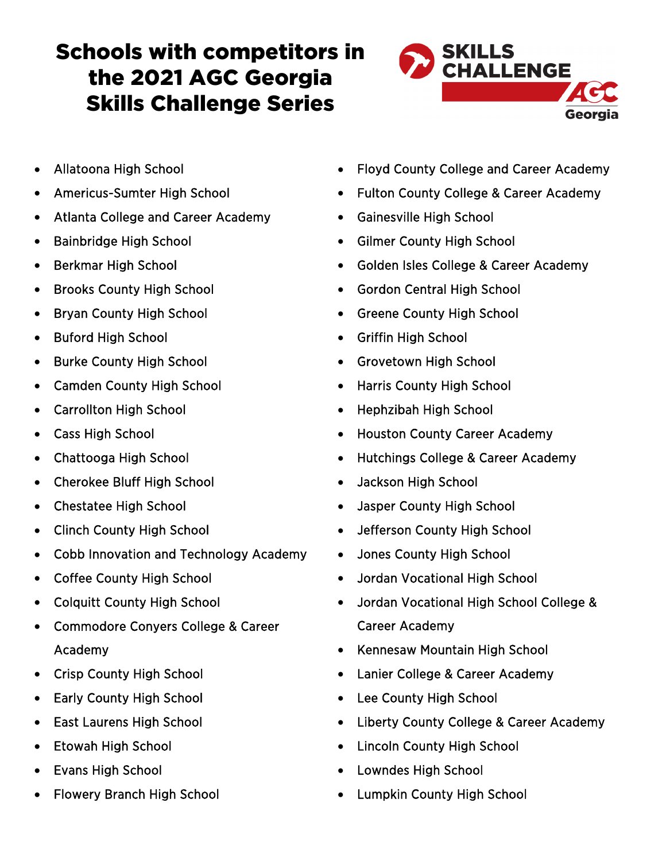## Schools with competitors in the 2021 AGC Georgia Skills Challenge Series



- Allatoona High School
- Americus-Sumter High School
- Atlanta College and Career Academy
- Bainbridge High School
- Berkmar High School
- Brooks County High School
- Bryan County High School
- Buford High School
- Burke County High School
- Camden County High School
- Carrollton High School
- Cass High School
- Chattooga High School
- Cherokee Bluff High School
- Chestatee High School
- Clinch County High School
- Cobb Innovation and Technology Academy
- Coffee County High School
- Colquitt County High School
- Commodore Conyers College & Career Academy
- Crisp County High School
- Early County High School
- East Laurens High School
- Etowah High School
- Evans High School
- Flowery Branch High School
- Floyd County College and Career Academy
- Fulton County College & Career Academy
- Gainesville High School
- Gilmer County High School
- Golden Isles College & Career Academy
- Gordon Central High School
- Greene County High School
- Griffin High School
- Grovetown High School
- Harris County High School
- Hephzibah High School
- Houston County Career Academy
- Hutchings College & Career Academy
- Jackson High School
- Jasper County High School
- Jefferson County High School
- Jones County High School
- Jordan Vocational High School
- Jordan Vocational High School College & Career Academy
- Kennesaw Mountain High School
- Lanier College & Career Academy
- Lee County High School
- Liberty County College & Career Academy
- Lincoln County High School
- Lowndes High School
- Lumpkin County High School